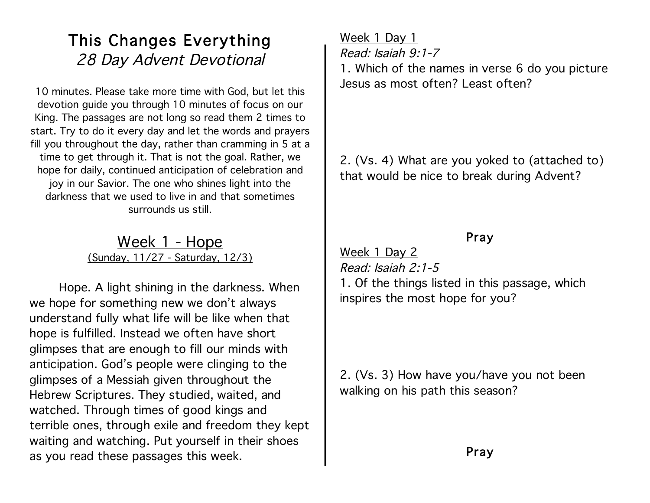# This Changes Everything 28 Day Advent Devotional

10 minutes. Please take more time with God, but let this devotion guide you through 10 minutes of focus on our King. The passages are not long so read them 2 times to start. Try to do it every day and let the words and prayers fill you throughout the day, rather than cramming in 5 at a time to get through it. That is not the goal. Rather, we hope for daily, continued anticipation of celebration and joy in our Savior. The one who shines light into the darkness that we used to live in and that sometimes surrounds us still.

### Week 1 - Hope (Sunday, 11/27 - Saturday, 12/3)

Hope. A light shining in the darkness. When we hope for something new we don't always understand fully what life will be like when that hope is fulfilled. Instead we often have short glimpses that are enough to fill our minds with anticipation. God's people were clinging to the glimpses of a Messiah given throughout the Hebrew Scriptures. They studied, waited, and watched. Through times of good kings and terrible ones, through exile and freedom they kept waiting and watching. Put yourself in their shoes as you read these passages this week.

Week 1 Day 1 Read: Isaiah 9:1-7 1. Which of the names in verse 6 do you picture Jesus as most often? Least often?

2. (Vs. 4) What are you yoked to (attached to) that would be nice to break during Advent?

Pray

Week 1 Day 2 Read: Isaiah 2:1-5 1. Of the things listed in this passage, which inspires the most hope for you?

2. (Vs. 3) How have you/have you not been walking on his path this season?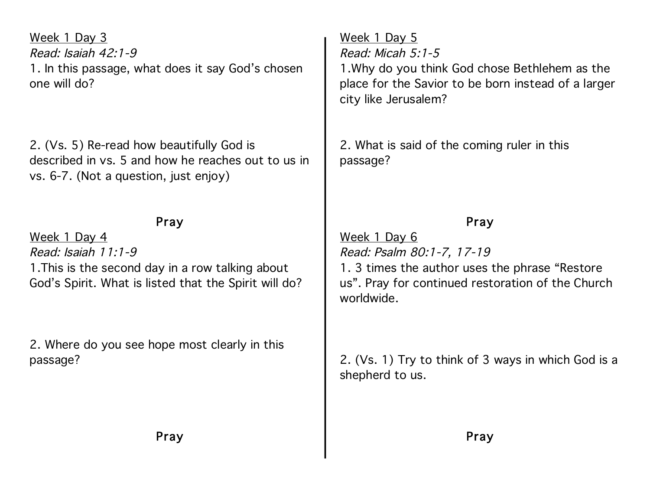Week 1 Day 3 Read: Isaiah 42:1-9 1. In this passage, what does it say God's chosen one will do?

2. (Vs. 5) Re-read how beautifully God is described in vs. 5 and how he reaches out to us in vs. 6-7. (Not a question, just enjoy)

#### Pray

Week 1 Day 4 Read: Isaiah 11:1-9 1.This is the second day in a row talking about God's Spirit. What is listed that the Spirit will do?

2. Where do you see hope most clearly in this passage?

Week 1 Day 5

Read: Micah 5:1-5

1.Why do you think God chose Bethlehem as the place for the Savior to be born instead of a larger city like Jerusalem?

2. What is said of the coming ruler in this passage?

## Pray

Week 1 Day 6 Read: Psalm 80:1-7, 17-19

1. 3 times the author uses the phrase "Restore us". Pray for continued restoration of the Church worldwide.

2. (Vs. 1) Try to think of 3 ways in which God is a shepherd to us.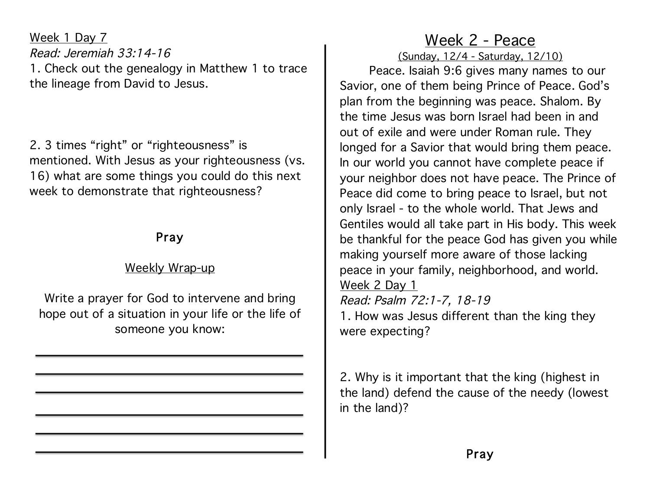Week 1 Day 7 Read: Jeremiah 33:14-16 1. Check out the genealogy in Matthew 1 to trace the lineage from David to Jesus.

2. 3 times "right" or "righteousness" is mentioned. With Jesus as your righteousness (vs. 16) what are some things you could do this next week to demonstrate that righteousness?

### Pray

### Weekly Wrap-up

Write a prayer for God to intervene and bring hope out of a situation in your life or the life of someone you know:

## Week 2 - Peace

(Sunday, 12/4 - Saturday, 12/10)

Peace. Isaiah 9:6 gives many names to our Savior, one of them being Prince of Peace. God's plan from the beginning was peace. Shalom. By the time Jesus was born Israel had been in and out of exile and were under Roman rule. They longed for a Savior that would bring them peace. In our world you cannot have complete peace if your neighbor does not have peace. The Prince of Peace did come to bring peace to Israel, but not only Israel - to the whole world. That Jews and Gentiles would all take part in His body. This week be thankful for the peace God has given you while making yourself more aware of those lacking peace in your family, neighborhood, and world. Week 2 Day 1

Read: Psalm 72:1-7, 18-19

1. How was Jesus different than the king they were expecting?

2. Why is it important that the king (highest in the land) defend the cause of the needy (lowest in the land)?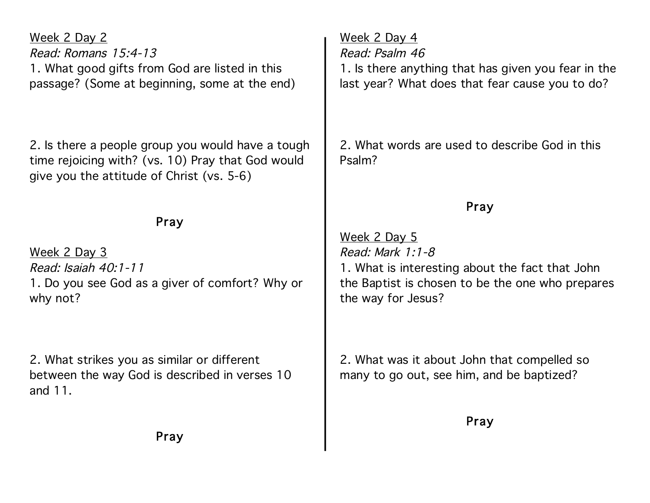Week 2 Day 2 Read: Romans 15:4-13 1. What good gifts from God are listed in this passage? (Some at beginning, some at the end)

2. Is there a people group you would have a tough time rejoicing with? (vs. 10) Pray that God would give you the attitude of Christ (vs. 5-6)

#### Pray

Week 2 Day 3 Read: Isaiah 40:1-11 1. Do you see God as a giver of comfort? Why or why not?

2. What strikes you as similar or different between the way God is described in verses 10 and 11.

Week 2 Day 4 Read: Psalm 46 1. Is there anything that has given you fear in the last year? What does that fear cause you to do?

2. What words are used to describe God in this Psalm?

## Pray

Week 2 Day 5 Read: Mark 1:1-8 1. What is interesting about the fact that John the Baptist is chosen to be the one who prepares the way for Jesus?

2. What was it about John that compelled so many to go out, see him, and be baptized?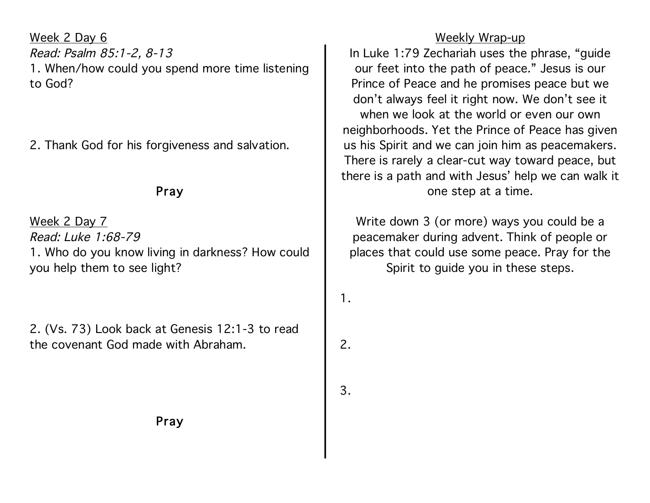Week 2 Day 6 Read: Psalm 85:1-2, 8-13 1. When/how could you spend more time listening to God?

2. Thank God for his forgiveness and salvation.

#### Pray

Week 2 Day 7 Read: Luke 1:68-79 1. Who do you know living in darkness? How could you help them to see light?

2. (Vs. 73) Look back at Genesis 12:1-3 to read the covenant God made with Abraham.

Pray

#### Weekly Wrap-up

In Luke 1:79 Zechariah uses the phrase, "guide our feet into the path of peace." Jesus is our Prince of Peace and he promises peace but we don't always feel it right now. We don't see it when we look at the world or even our own neighborhoods. Yet the Prince of Peace has given us his Spirit and we can join him as peacemakers. There is rarely a clear-cut way toward peace, but there is a path and with Jesus' help we can walk it one step at a time.

Write down 3 (or more) ways you could be a peacemaker during advent. Think of people or places that could use some peace. Pray for the Spirit to guide you in these steps.

1.

2.

3.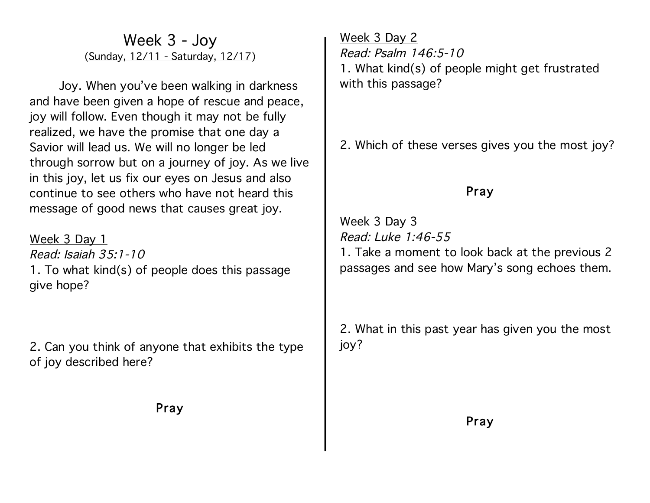### Week 3 - Joy (Sunday, 12/11 - Saturday, 12/17)

Joy. When you've been walking in darkness and have been given a hope of rescue and peace, joy will follow. Even though it may not be fully realized, we have the promise that one day a Savior will lead us. We will no longer be led through sorrow but on a journey of joy. As we live in this joy, let us fix our eyes on Jesus and also continue to see others who have not heard this message of good news that causes great joy.

Week 3 Day 1 Read: Isaiah 35:1-10 1. To what kind(s) of people does this passage give hope?

2. Can you think of anyone that exhibits the type of joy described here?

Pray

Week 3 Day 2 Read: Psalm 146:5-10 1. What kind(s) of people might get frustrated with this passage?

2. Which of these verses gives you the most joy?

#### Pray

Week 3 Day 3 Read: Luke 1:46-55

1. Take a moment to look back at the previous 2 passages and see how Mary's song echoes them.

2. What in this past year has given you the most joy?

Pray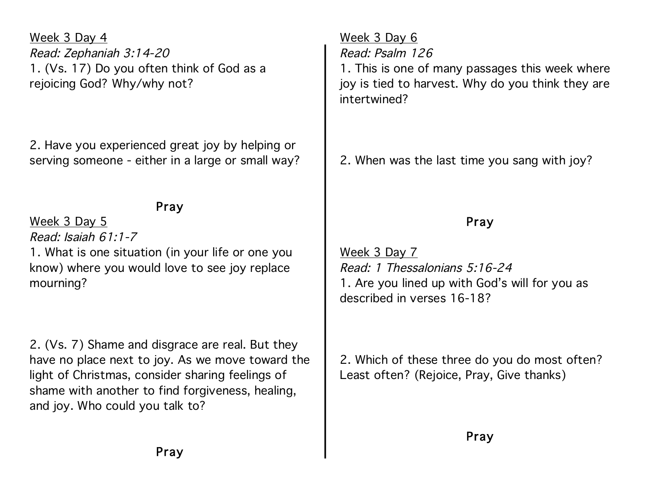Week 3 Day 4 Read: Zephaniah 3:14-20 1. (Vs. 17) Do you often think of God as a rejoicing God? Why/why not?

2. Have you experienced great joy by helping or serving someone - either in a large or small way?

#### Pray

Week 3 Day 5 Read: Isaiah 61:1-7 1. What is one situation (in your life or one you know) where you would love to see joy replace mourning?

2. (Vs. 7) Shame and disgrace are real. But they have no place next to joy. As we move toward the light of Christmas, consider sharing feelings of shame with another to find forgiveness, healing, and joy. Who could you talk to?

Week 3 Day 6 Read: Psalm 126

1. This is one of many passages this week where joy is tied to harvest. Why do you think they are intertwined?

2. When was the last time you sang with joy?

### Pray

Week 3 Day 7 Read: 1 Thessalonians 5:16-24 1. Are you lined up with God's will for you as described in verses 16-18?

2. Which of these three do you do most often? Least often? (Rejoice, Pray, Give thanks)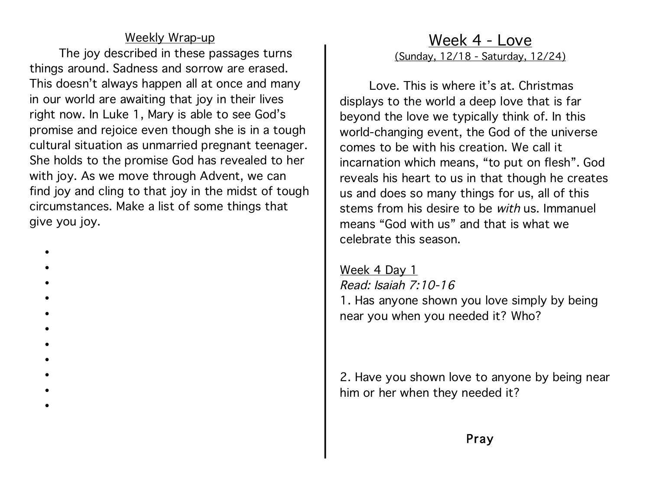#### Weekly Wrap-up

The joy described in these passages turns things around. Sadness and sorrow are erased. This doesn't always happen all at once and many in our world are awaiting that joy in their lives right now. In Luke 1, Mary is able to see God's promise and rejoice even though she is in a tough cultural situation as unmarried pregnant teenager. She holds to the promise God has revealed to her with joy. As we move through Advent, we can find joy and cling to that joy in the midst of tough circumstances. Make a list of some things that give you joy.

- •
- •
- •
- •
- •
- •
- •
- •
- •
- •
- •

#### Week 4 - Love (Sunday, 12/18 - Saturday, 12/24)

Love. This is where it's at. Christmas displays to the world a deep love that is far beyond the love we typically think of. In this world-changing event, the God of the universe comes to be with his creation. We call it incarnation which means, "to put on flesh". God reveals his heart to us in that though he creates us and does so many things for us, all of this stems from his desire to be with us. Immanuel means "God with us" and that is what we celebrate this season.

#### Week 4 Day 1

Read: Isaiah 7:10-16 1. Has anyone shown you love simply by being near you when you needed it? Who?

2. Have you shown love to anyone by being near him or her when they needed it?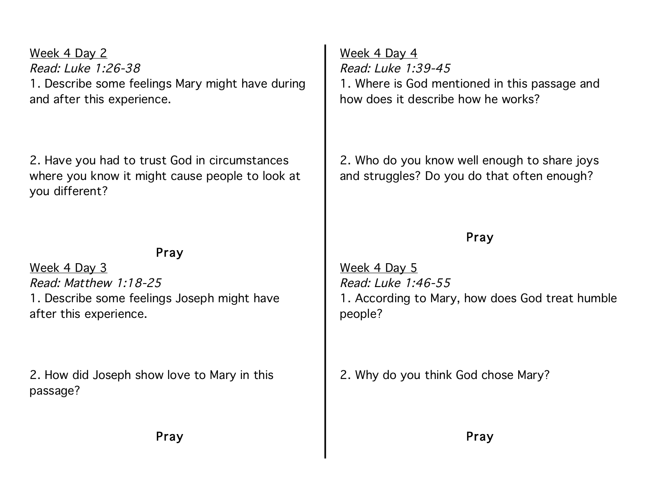Week 4 Day 2 Read: Luke 1:26-38 1. Describe some feelings Mary might have during and after this experience.

2. Have you had to trust God in circumstances where you know it might cause people to look at you different?

Pray

Week 4 Day 3 Read: Matthew 1:18-25 1. Describe some feelings Joseph might have after this experience.

2. How did Joseph show love to Mary in this passage?

Pray

Week 4 Day 4 Read: Luke 1:39-45 1. Where is God mentioned in this passage and how does it describe how he works?

2. Who do you know well enough to share joys and struggles? Do you do that often enough?

### Pray

Week 4 Day 5 Read: Luke 1:46-55 1. According to Mary, how does God treat humble people?

2. Why do you think God chose Mary?

Pray